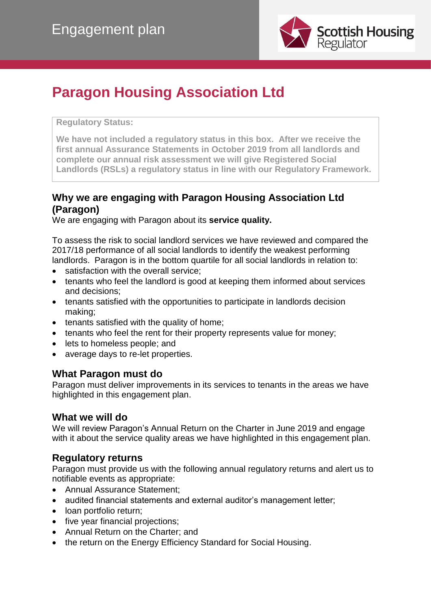

# **Paragon Housing Association Ltd**

#### **Regulatory Status:**

**We have not included a regulatory status in this box. After we receive the first annual Assurance Statements in October 2019 from all landlords and complete our annual risk assessment we will give Registered Social Landlords (RSLs) a regulatory status in line with our Regulatory Framework.**

# **Why we are engaging with Paragon Housing Association Ltd (Paragon)**

We are engaging with Paragon about its **service quality.**

To assess the risk to social landlord services we have reviewed and compared the 2017/18 performance of all social landlords to identify the weakest performing landlords. Paragon is in the bottom quartile for all social landlords in relation to:

- satisfaction with the overall service;
- tenants who feel the landlord is good at keeping them informed about services and decisions;
- tenants satisfied with the opportunities to participate in landlords decision making;
- tenants satisfied with the quality of home;
- tenants who feel the rent for their property represents value for money;
- lets to homeless people; and
- average days to re-let properties.

#### **What Paragon must do**

Paragon must deliver improvements in its services to tenants in the areas we have highlighted in this engagement plan.

#### **What we will do**

We will review Paragon's Annual Return on the Charter in June 2019 and engage with it about the service quality areas we have highlighted in this engagement plan.

# **Regulatory returns**

Paragon must provide us with the following annual regulatory returns and alert us to notifiable events as appropriate:

- Annual Assurance Statement:
- audited financial statements and external auditor's management letter;
- loan portfolio return;
- five year financial projections;
- Annual Return on the Charter; and
- the return on the Energy Efficiency Standard for Social Housing.